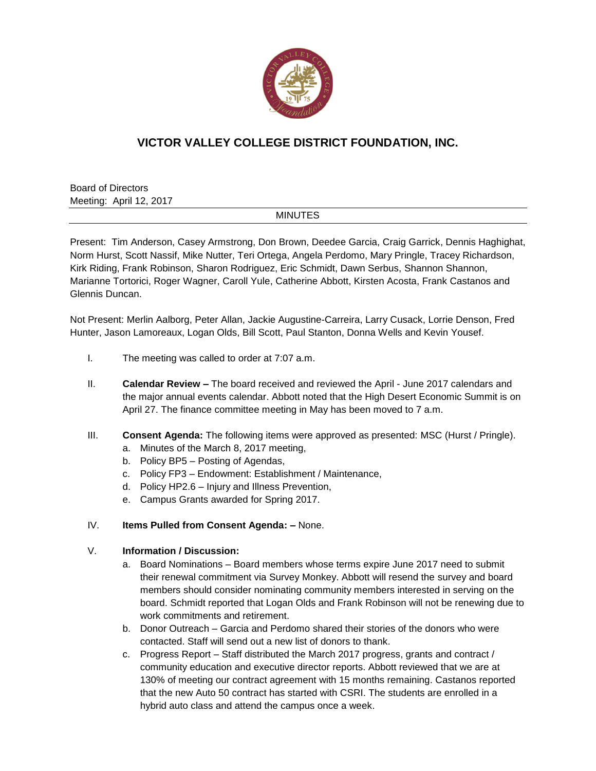

# **VICTOR VALLEY COLLEGE DISTRICT FOUNDATION, INC.**

Board of Directors Meeting: April 12, 2017

### **MINUTES**

Present: Tim Anderson, Casey Armstrong, Don Brown, Deedee Garcia, Craig Garrick, Dennis Haghighat, Norm Hurst, Scott Nassif, Mike Nutter, Teri Ortega, Angela Perdomo, Mary Pringle, Tracey Richardson, Kirk Riding, Frank Robinson, Sharon Rodriguez, Eric Schmidt, Dawn Serbus, Shannon Shannon, Marianne Tortorici, Roger Wagner, Caroll Yule, Catherine Abbott, Kirsten Acosta, Frank Castanos and Glennis Duncan.

Not Present: Merlin Aalborg, Peter Allan, Jackie Augustine-Carreira, Larry Cusack, Lorrie Denson, Fred Hunter, Jason Lamoreaux, Logan Olds, Bill Scott, Paul Stanton, Donna Wells and Kevin Yousef.

- I. The meeting was called to order at 7:07 a.m.
- II. **Calendar Review –** The board received and reviewed the April June 2017 calendars and the major annual events calendar. Abbott noted that the High Desert Economic Summit is on April 27. The finance committee meeting in May has been moved to 7 a.m.
- III. **Consent Agenda:** The following items were approved as presented: MSC (Hurst / Pringle).
	- a. Minutes of the March 8, 2017 meeting,
	- b. Policy BP5 Posting of Agendas,
	- c. Policy FP3 Endowment: Establishment / Maintenance,
	- d. Policy HP2.6 Injury and Illness Prevention,
	- e. Campus Grants awarded for Spring 2017.

## IV. **Items Pulled from Consent Agenda: –** None.

### V. **Information / Discussion:**

- a. Board Nominations Board members whose terms expire June 2017 need to submit their renewal commitment via Survey Monkey. Abbott will resend the survey and board members should consider nominating community members interested in serving on the board. Schmidt reported that Logan Olds and Frank Robinson will not be renewing due to work commitments and retirement.
- b. Donor Outreach Garcia and Perdomo shared their stories of the donors who were contacted. Staff will send out a new list of donors to thank.
- c. Progress Report Staff distributed the March 2017 progress, grants and contract / community education and executive director reports. Abbott reviewed that we are at 130% of meeting our contract agreement with 15 months remaining. Castanos reported that the new Auto 50 contract has started with CSRI. The students are enrolled in a hybrid auto class and attend the campus once a week.